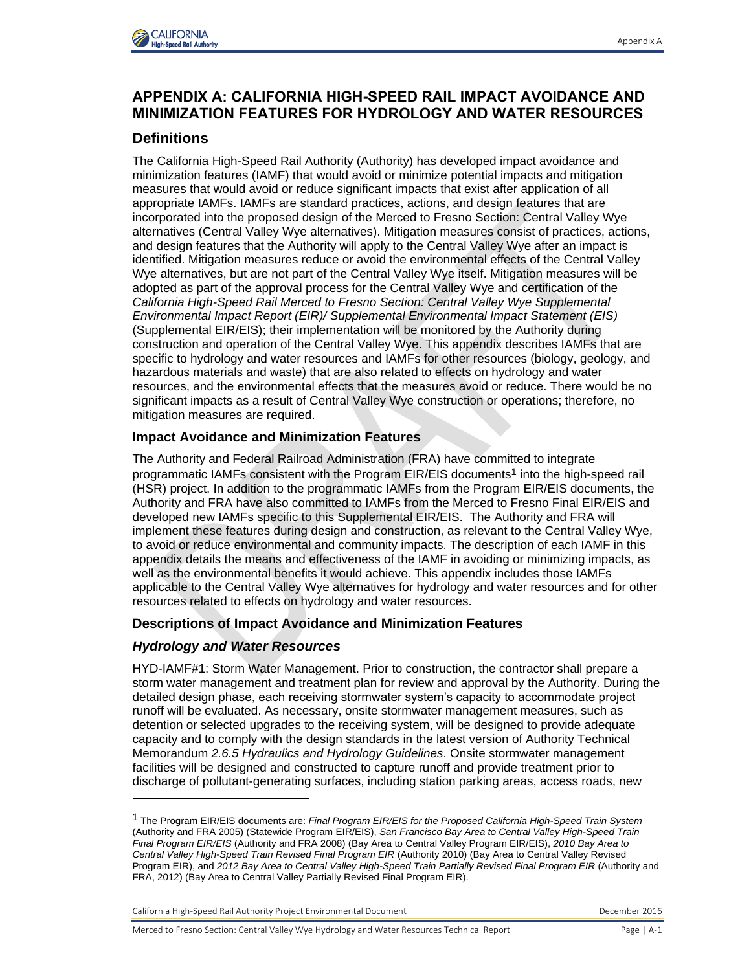

# **APPENDIX A: CALIFORNIA HIGH-SPEED RAIL IMPACT AVOIDANCE AND MINIMIZATION FEATURES FOR HYDROLOGY AND WATER RESOURCES**

# **Definitions**

The California High-Speed Rail Authority (Authority) has developed impact avoidance and minimization features (IAMF) that would avoid or minimize potential impacts and mitigation measures that would avoid or reduce significant impacts that exist after application of all appropriate IAMFs. IAMFs are standard practices, actions, and design features that are incorporated into the proposed design of the Merced to Fresno Section: Central Valley Wye alternatives (Central Valley Wye alternatives). Mitigation measures consist of practices, actions, and design features that the Authority will apply to the Central Valley Wye after an impact is identified. Mitigation measures reduce or avoid the environmental effects of the Central Valley Wye alternatives, but are not part of the Central Valley Wye itself. Mitigation measures will be adopted as part of the approval process for the Central Valley Wye and certification of the *California High-Speed Rail Merced to Fresno Section: Central Valley Wye Supplemental Environmental Impact Report (EIR)/ Supplemental Environmental Impact Statement (EIS)* (Supplemental EIR/EIS); their implementation will be monitored by the Authority during construction and operation of the Central Valley Wye. This appendix describes IAMFs that are specific to hydrology and water resources and IAMFs for other resources (biology, geology, and hazardous materials and waste) that are also related to effects on hydrology and water resources, and the environmental effects that the measures avoid or reduce. There would be no significant impacts as a result of Central Valley Wye construction or operations; therefore, no mitigation measures are required.

## **Impact Avoidance and Minimization Features**

The Authority and Federal Railroad Administration (FRA) have committed to integrate programmatic IAMFs consistent with the Program EIR/EIS documents<sup>1</sup> into the high-speed rail (HSR) project. In addition to the programmatic IAMFs from the Program EIR/EIS documents, the Authority and FRA have also committed to IAMFs from the Merced to Fresno Final EIR/EIS and developed new IAMFs specific to this Supplemental EIR/EIS. The Authority and FRA will implement these features during design and construction, as relevant to the Central Valley Wye, to avoid or reduce environmental and community impacts. The description of each IAMF in this appendix details the means and effectiveness of the IAMF in avoiding or minimizing impacts, as well as the environmental benefits it would achieve. This appendix includes those IAMFs applicable to the Central Valley Wye alternatives for hydrology and water resources and for other resources related to effects on hydrology and water resources.

## **Descriptions of Impact Avoidance and Minimization Features**

## *Hydrology and Water Resources*

l

HYD-IAMF#1: Storm Water Management. Prior to construction, the contractor shall prepare a storm water management and treatment plan for review and approval by the Authority. During the detailed design phase, each receiving stormwater system's capacity to accommodate project runoff will be evaluated. As necessary, onsite stormwater management measures, such as detention or selected upgrades to the receiving system, will be designed to provide adequate capacity and to comply with the design standards in the latest version of Authority Technical Memorandum *2.6.5 Hydraulics and Hydrology Guidelines*. Onsite stormwater management facilities will be designed and constructed to capture runoff and provide treatment prior to discharge of pollutant-generating surfaces, including station parking areas, access roads, new

<sup>1</sup> The Program EIR/EIS documents are: *Final Program EIR/EIS for the Proposed California High-Speed Train System* (Authority and FRA 2005) (Statewide Program EIR/EIS), *San Francisco Bay Area to Central Valley High-Speed Train Final Program EIR/EIS* (Authority and FRA 2008) (Bay Area to Central Valley Program EIR/EIS), *2010 Bay Area to Central Valley High-Speed Train Revised Final Program EIR* (Authority 2010) (Bay Area to Central Valley Revised Program EIR), and *2012 Bay Area to Central Valley High-Speed Train Partially Revised Final Program EIR* (Authority and FRA, 2012) (Bay Area to Central Valley Partially Revised Final Program EIR).

California High-Speed Rail Authority Project Environmental Document **December 2016** December 2016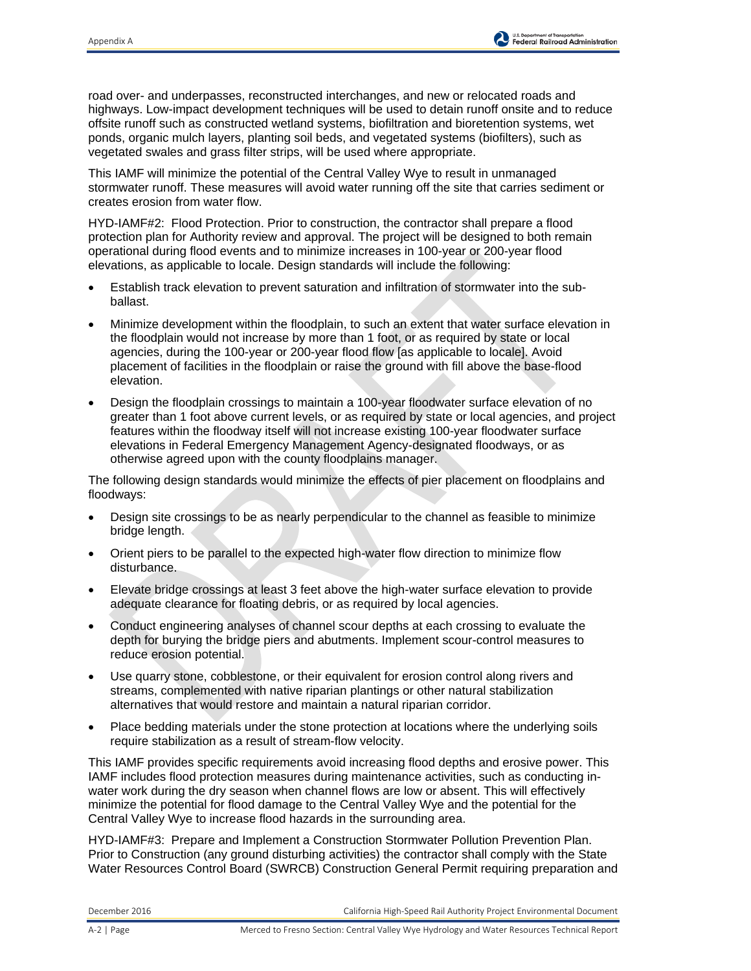

road over- and underpasses, reconstructed interchanges, and new or relocated roads and highways. Low-impact development techniques will be used to detain runoff onsite and to reduce offsite runoff such as constructed wetland systems, biofiltration and bioretention systems, wet ponds, organic mulch layers, planting soil beds, and vegetated systems (biofilters), such as vegetated swales and grass filter strips, will be used where appropriate.

This IAMF will minimize the potential of the Central Valley Wye to result in unmanaged stormwater runoff. These measures will avoid water running off the site that carries sediment or creates erosion from water flow.

HYD-IAMF#2: Flood Protection. Prior to construction, the contractor shall prepare a flood protection plan for Authority review and approval. The project will be designed to both remain operational during flood events and to minimize increases in 100-year or 200-year flood elevations, as applicable to locale. Design standards will include the following:

- Establish track elevation to prevent saturation and infiltration of stormwater into the subballast.
- Minimize development within the floodplain, to such an extent that water surface elevation in the floodplain would not increase by more than 1 foot, or as required by state or local agencies, during the 100-year or 200-year flood flow [as applicable to locale]. Avoid placement of facilities in the floodplain or raise the ground with fill above the base-flood elevation.
- Design the floodplain crossings to maintain a 100-year floodwater surface elevation of no greater than 1 foot above current levels, or as required by state or local agencies, and project features within the floodway itself will not increase existing 100-year floodwater surface elevations in Federal Emergency Management Agency-designated floodways, or as otherwise agreed upon with the county floodplains manager.

The following design standards would minimize the effects of pier placement on floodplains and floodways:

- Design site crossings to be as nearly perpendicular to the channel as feasible to minimize bridge length.
- Orient piers to be parallel to the expected high-water flow direction to minimize flow disturbance.
- Elevate bridge crossings at least 3 feet above the high-water surface elevation to provide adequate clearance for floating debris, or as required by local agencies.
- Conduct engineering analyses of channel scour depths at each crossing to evaluate the depth for burying the bridge piers and abutments. Implement scour-control measures to reduce erosion potential.
- Use quarry stone, cobblestone, or their equivalent for erosion control along rivers and streams, complemented with native riparian plantings or other natural stabilization alternatives that would restore and maintain a natural riparian corridor.
- Place bedding materials under the stone protection at locations where the underlying soils require stabilization as a result of stream-flow velocity.

This IAMF provides specific requirements avoid increasing flood depths and erosive power. This IAMF includes flood protection measures during maintenance activities, such as conducting inwater work during the dry season when channel flows are low or absent. This will effectively minimize the potential for flood damage to the Central Valley Wye and the potential for the Central Valley Wye to increase flood hazards in the surrounding area.

HYD-IAMF#3: Prepare and Implement a Construction Stormwater Pollution Prevention Plan. Prior to Construction (any ground disturbing activities) the contractor shall comply with the State Water Resources Control Board (SWRCB) Construction General Permit requiring preparation and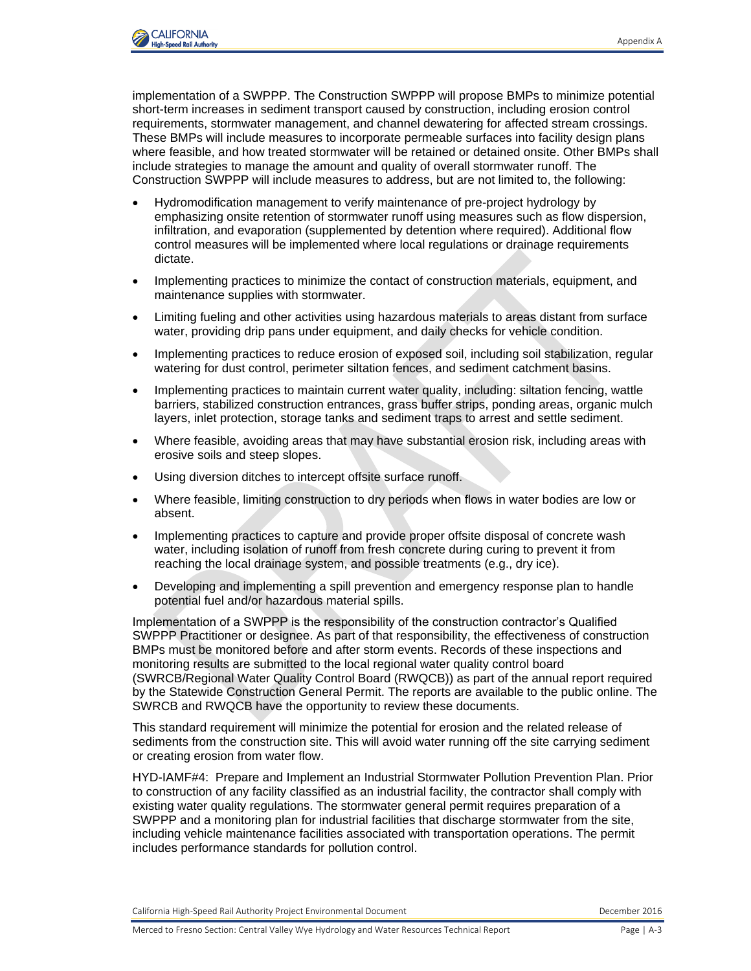

implementation of a SWPPP. The Construction SWPPP will propose BMPs to minimize potential short-term increases in sediment transport caused by construction, including erosion control requirements, stormwater management, and channel dewatering for affected stream crossings. These BMPs will include measures to incorporate permeable surfaces into facility design plans where feasible, and how treated stormwater will be retained or detained onsite. Other BMPs shall include strategies to manage the amount and quality of overall stormwater runoff. The Construction SWPPP will include measures to address, but are not limited to, the following:

- Hydromodification management to verify maintenance of pre-project hydrology by emphasizing onsite retention of stormwater runoff using measures such as flow dispersion, infiltration, and evaporation (supplemented by detention where required). Additional flow control measures will be implemented where local regulations or drainage requirements dictate.
- Implementing practices to minimize the contact of construction materials, equipment, and maintenance supplies with stormwater.
- Limiting fueling and other activities using hazardous materials to areas distant from surface water, providing drip pans under equipment, and daily checks for vehicle condition.
- Implementing practices to reduce erosion of exposed soil, including soil stabilization, regular watering for dust control, perimeter siltation fences, and sediment catchment basins.
- Implementing practices to maintain current water quality, including: siltation fencing, wattle barriers, stabilized construction entrances, grass buffer strips, ponding areas, organic mulch layers, inlet protection, storage tanks and sediment traps to arrest and settle sediment.
- Where feasible, avoiding areas that may have substantial erosion risk, including areas with erosive soils and steep slopes.
- Using diversion ditches to intercept offsite surface runoff.
- Where feasible, limiting construction to dry periods when flows in water bodies are low or absent.
- Implementing practices to capture and provide proper offsite disposal of concrete wash water, including isolation of runoff from fresh concrete during curing to prevent it from reaching the local drainage system, and possible treatments (e.g., dry ice).
- Developing and implementing a spill prevention and emergency response plan to handle potential fuel and/or hazardous material spills.

Implementation of a SWPPP is the responsibility of the construction contractor's Qualified SWPPP Practitioner or designee. As part of that responsibility, the effectiveness of construction BMPs must be monitored before and after storm events. Records of these inspections and monitoring results are submitted to the local regional water quality control board (SWRCB/Regional Water Quality Control Board (RWQCB)) as part of the annual report required by the Statewide Construction General Permit. The reports are available to the public online. The SWRCB and RWQCB have the opportunity to review these documents.

This standard requirement will minimize the potential for erosion and the related release of sediments from the construction site. This will avoid water running off the site carrying sediment or creating erosion from water flow.

HYD-IAMF#4: Prepare and Implement an Industrial Stormwater Pollution Prevention Plan. Prior to construction of any facility classified as an industrial facility, the contractor shall comply with existing water quality regulations. The stormwater general permit requires preparation of a SWPPP and a monitoring plan for industrial facilities that discharge stormwater from the site, including vehicle maintenance facilities associated with transportation operations. The permit includes performance standards for pollution control.

California High-Speed Rail Authority Project Environmental Document **December 2016** December 2016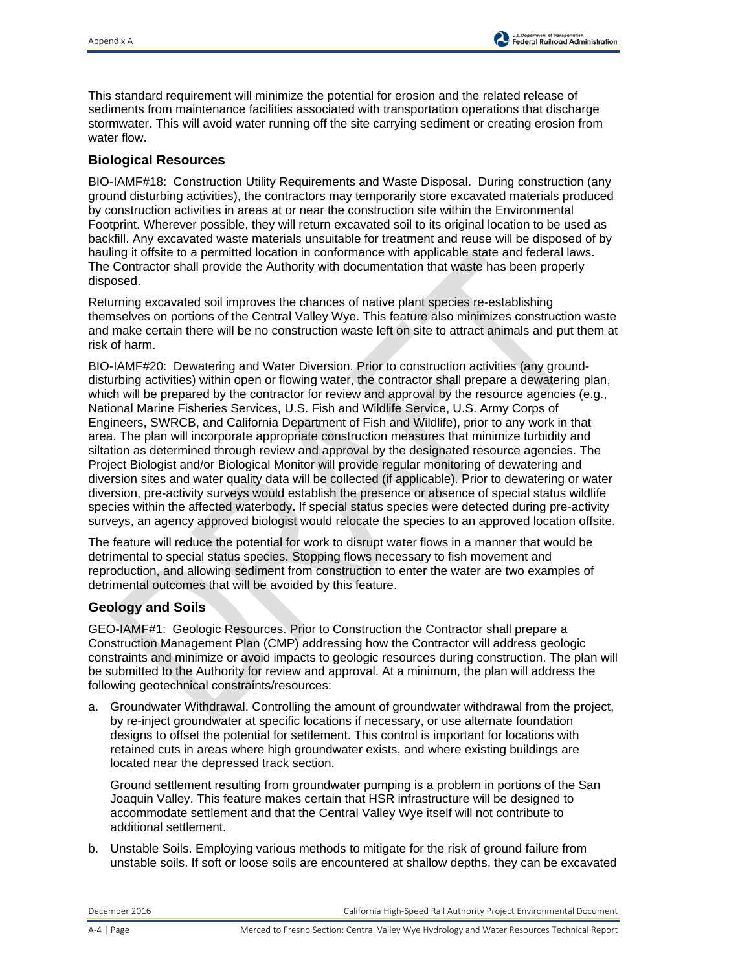

This standard requirement will minimize the potential for erosion and the related release of sediments from maintenance facilities associated with transportation operations that discharge stormwater. This will avoid water running off the site carrying sediment or creating erosion from water flow.

#### **Biological Resources**

BIO-IAMF#18: Construction Utility Requirements and Waste Disposal. During construction (any ground disturbing activities), the contractors may temporarily store excavated materials produced by construction activities in areas at or near the construction site within the Environmental Footprint. Wherever possible, they will return excavated soil to its original location to be used as backfill. Any excavated waste materials unsuitable for treatment and reuse will be disposed of by hauling it offsite to a permitted location in conformance with applicable state and federal laws. The Contractor shall provide the Authority with documentation that waste has been properly disposed.

Returning excavated soil improves the chances of native plant species re-establishing themselves on portions of the Central Valley Wye. This feature also minimizes construction waste and make certain there will be no construction waste left on site to attract animals and put them at risk of harm.

BIO-IAMF#20: Dewatering and Water Diversion. Prior to construction activities (any grounddisturbing activities) within open or flowing water, the contractor shall prepare a dewatering plan, which will be prepared by the contractor for review and approval by the resource agencies (e.g., National Marine Fisheries Services, U.S. Fish and Wildlife Service, U.S. Army Corps of Engineers, SWRCB, and California Department of Fish and Wildlife), prior to any work in that area. The plan will incorporate appropriate construction measures that minimize turbidity and siltation as determined through review and approval by the designated resource agencies. The Project Biologist and/or Biological Monitor will provide regular monitoring of dewatering and diversion sites and water quality data will be collected (if applicable). Prior to dewatering or water diversion, pre-activity surveys would establish the presence or absence of special status wildlife species within the affected waterbody. If special status species were detected during pre-activity surveys, an agency approved biologist would relocate the species to an approved location offsite.

The feature will reduce the potential for work to disrupt water flows in a manner that would be detrimental to special status species. Stopping flows necessary to fish movement and reproduction, and allowing sediment from construction to enter the water are two examples of detrimental outcomes that will be avoided by this feature.

## **Geology and Soils**

GEO-IAMF#1: Geologic Resources. Prior to Construction the Contractor shall prepare a Construction Management Plan (CMP) addressing how the Contractor will address geologic constraints and minimize or avoid impacts to geologic resources during construction. The plan will be submitted to the Authority for review and approval. At a minimum, the plan will address the following geotechnical constraints/resources:

a. Groundwater Withdrawal. Controlling the amount of groundwater withdrawal from the project, by re-inject groundwater at specific locations if necessary, or use alternate foundation designs to offset the potential for settlement. This control is important for locations with retained cuts in areas where high groundwater exists, and where existing buildings are located near the depressed track section.

Ground settlement resulting from groundwater pumping is a problem in portions of the San Joaquin Valley. This feature makes certain that HSR infrastructure will be designed to accommodate settlement and that the Central Valley Wye itself will not contribute to additional settlement.

b. Unstable Soils. Employing various methods to mitigate for the risk of ground failure from unstable soils. If soft or loose soils are encountered at shallow depths, they can be excavated

December 2016 California High-Speed Rail Authority Project Environmental Document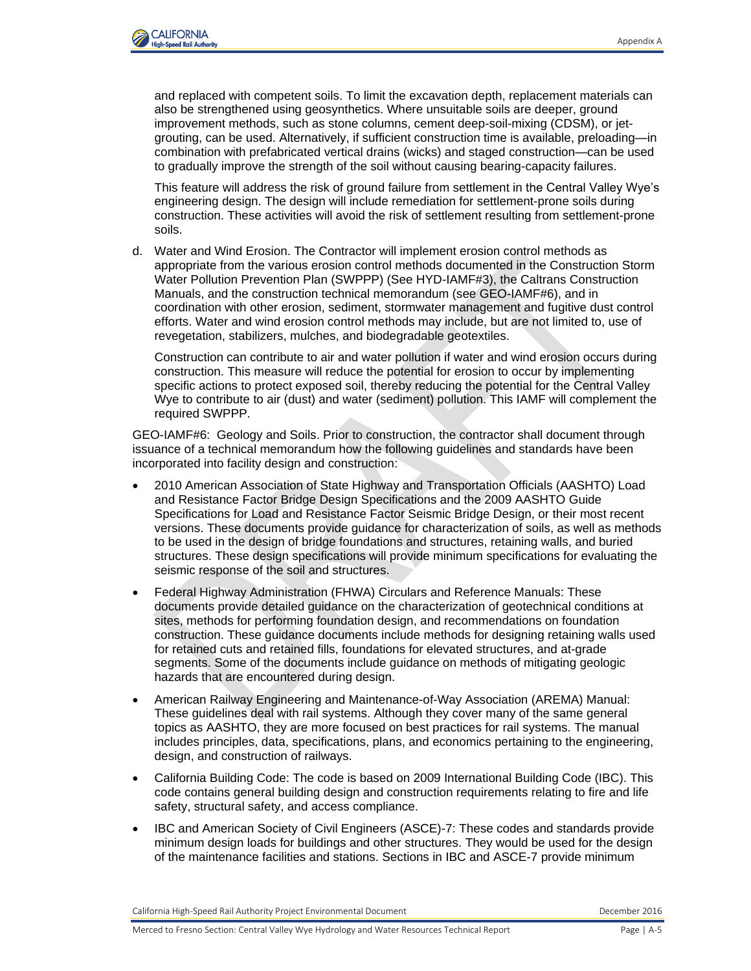

and replaced with competent soils. To limit the excavation depth, replacement materials can also be strengthened using geosynthetics. Where unsuitable soils are deeper, ground improvement methods, such as stone columns, cement deep-soil-mixing (CDSM), or jetgrouting, can be used. Alternatively, if sufficient construction time is available, preloading—in combination with prefabricated vertical drains (wicks) and staged construction—can be used to gradually improve the strength of the soil without causing bearing-capacity failures.

This feature will address the risk of ground failure from settlement in the Central Valley Wye's engineering design. The design will include remediation for settlement-prone soils during construction. These activities will avoid the risk of settlement resulting from settlement-prone soils.

d. Water and Wind Erosion. The Contractor will implement erosion control methods as appropriate from the various erosion control methods documented in the Construction Storm Water Pollution Prevention Plan (SWPPP) (See HYD-IAMF#3), the Caltrans Construction Manuals, and the construction technical memorandum (see GEO-IAMF#6), and in coordination with other erosion, sediment, stormwater management and fugitive dust control efforts. Water and wind erosion control methods may include, but are not limited to, use of revegetation, stabilizers, mulches, and biodegradable geotextiles.

Construction can contribute to air and water pollution if water and wind erosion occurs during construction. This measure will reduce the potential for erosion to occur by implementing specific actions to protect exposed soil, thereby reducing the potential for the Central Valley Wye to contribute to air (dust) and water (sediment) pollution. This IAMF will complement the required SWPPP.

GEO-IAMF#6: Geology and Soils. Prior to construction, the contractor shall document through issuance of a technical memorandum how the following guidelines and standards have been incorporated into facility design and construction:

- 2010 American Association of State Highway and Transportation Officials (AASHTO) Load and Resistance Factor Bridge Design Specifications and the 2009 AASHTO Guide Specifications for Load and Resistance Factor Seismic Bridge Design, or their most recent versions. These documents provide guidance for characterization of soils, as well as methods to be used in the design of bridge foundations and structures, retaining walls, and buried structures. These design specifications will provide minimum specifications for evaluating the seismic response of the soil and structures.
- Federal Highway Administration (FHWA) Circulars and Reference Manuals: These documents provide detailed guidance on the characterization of geotechnical conditions at sites, methods for performing foundation design, and recommendations on foundation construction. These guidance documents include methods for designing retaining walls used for retained cuts and retained fills, foundations for elevated structures, and at-grade segments. Some of the documents include guidance on methods of mitigating geologic hazards that are encountered during design.
- American Railway Engineering and Maintenance-of-Way Association (AREMA) Manual: These guidelines deal with rail systems. Although they cover many of the same general topics as AASHTO, they are more focused on best practices for rail systems. The manual includes principles, data, specifications, plans, and economics pertaining to the engineering, design, and construction of railways.
- California Building Code: The code is based on 2009 International Building Code (IBC). This code contains general building design and construction requirements relating to fire and life safety, structural safety, and access compliance.
- IBC and American Society of Civil Engineers (ASCE)-7: These codes and standards provide minimum design loads for buildings and other structures. They would be used for the design of the maintenance facilities and stations. Sections in IBC and ASCE-7 provide minimum

California High-Speed Rail Authority Project Environmental Document **December 2016** December 2016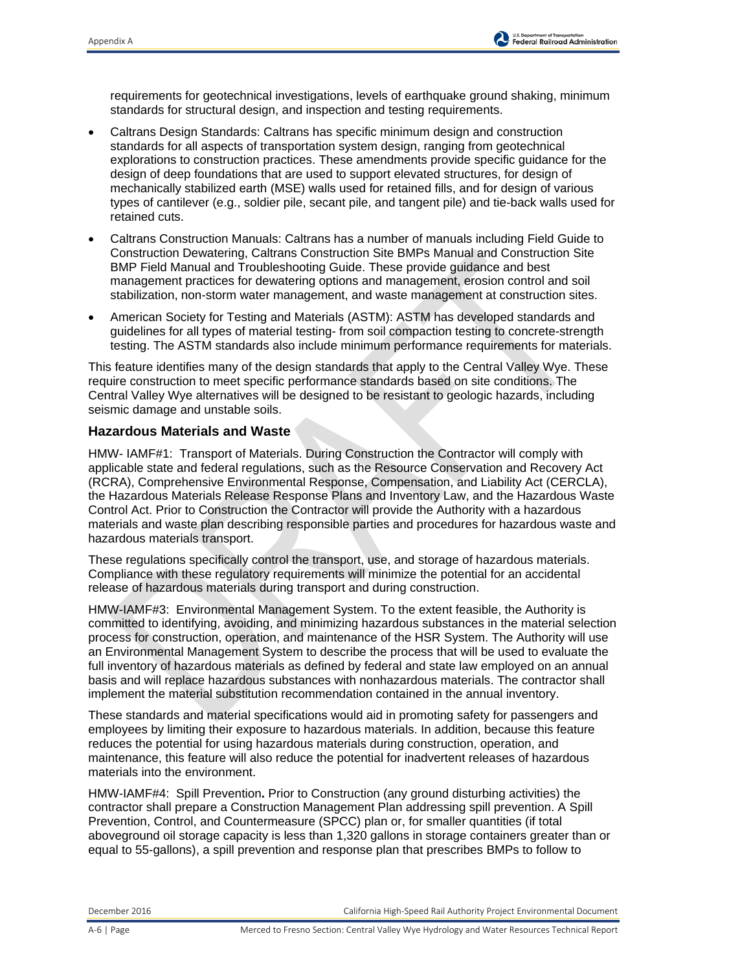requirements for geotechnical investigations, levels of earthquake ground shaking, minimum standards for structural design, and inspection and testing requirements.

- Caltrans Design Standards: Caltrans has specific minimum design and construction standards for all aspects of transportation system design, ranging from geotechnical explorations to construction practices. These amendments provide specific guidance for the design of deep foundations that are used to support elevated structures, for design of mechanically stabilized earth (MSE) walls used for retained fills, and for design of various types of cantilever (e.g., soldier pile, secant pile, and tangent pile) and tie-back walls used for retained cuts.
- Caltrans Construction Manuals: Caltrans has a number of manuals including Field Guide to Construction Dewatering, Caltrans Construction Site BMPs Manual and Construction Site BMP Field Manual and Troubleshooting Guide. These provide guidance and best management practices for dewatering options and management, erosion control and soil stabilization, non-storm water management, and waste management at construction sites.
- American Society for Testing and Materials (ASTM): ASTM has developed standards and guidelines for all types of material testing- from soil compaction testing to concrete-strength testing. The ASTM standards also include minimum performance requirements for materials.

This feature identifies many of the design standards that apply to the Central Valley Wye. These require construction to meet specific performance standards based on site conditions. The Central Valley Wye alternatives will be designed to be resistant to geologic hazards, including seismic damage and unstable soils.

## **Hazardous Materials and Waste**

HMW- IAMF#1: Transport of Materials. During Construction the Contractor will comply with applicable state and federal regulations, such as the Resource Conservation and Recovery Act (RCRA), Comprehensive Environmental Response, Compensation, and Liability Act (CERCLA), the Hazardous Materials Release Response Plans and Inventory Law, and the Hazardous Waste Control Act. Prior to Construction the Contractor will provide the Authority with a hazardous materials and waste plan describing responsible parties and procedures for hazardous waste and hazardous materials transport.

These regulations specifically control the transport, use, and storage of hazardous materials. Compliance with these regulatory requirements will minimize the potential for an accidental release of hazardous materials during transport and during construction.

HMW-IAMF#3: Environmental Management System. To the extent feasible, the Authority is committed to identifying, avoiding, and minimizing hazardous substances in the material selection process for construction, operation, and maintenance of the HSR System. The Authority will use an Environmental Management System to describe the process that will be used to evaluate the full inventory of hazardous materials as defined by federal and state law employed on an annual basis and will replace hazardous substances with nonhazardous materials. The contractor shall implement the material substitution recommendation contained in the annual inventory.

These standards and material specifications would aid in promoting safety for passengers and employees by limiting their exposure to hazardous materials. In addition, because this feature reduces the potential for using hazardous materials during construction, operation, and maintenance, this feature will also reduce the potential for inadvertent releases of hazardous materials into the environment.

HMW-IAMF#4: Spill Prevention**.** Prior to Construction (any ground disturbing activities) the contractor shall prepare a Construction Management Plan addressing spill prevention. A Spill Prevention, Control, and Countermeasure (SPCC) plan or, for smaller quantities (if total aboveground oil storage capacity is less than 1,320 gallons in storage containers greater than or equal to 55-gallons), a spill prevention and response plan that prescribes BMPs to follow to

December 2016 California High-Speed Rail Authority Project Environmental Document